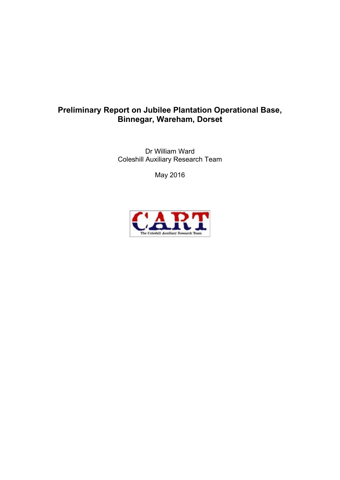# **Preliminary Report on Jubilee Plantation Operational Base, Binnegar, Wareham, Dorset**

Dr William Ward Coleshill Auxiliary Research Team

May 2016

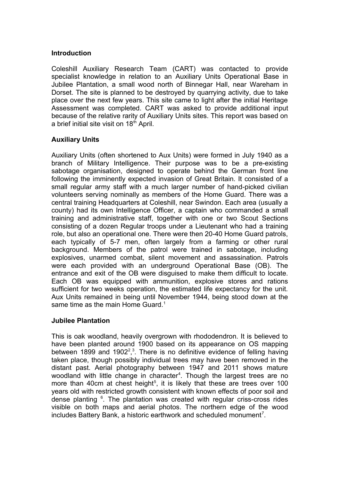#### **Introduction**

Coleshill Auxiliary Research Team (CART) was contacted to provide specialist knowledge in relation to an Auxiliary Units Operational Base in Jubilee Plantation, a small wood north of Binnegar Hall, near Wareham in Dorset. The site is planned to be destroyed by quarrying activity, due to take place over the next few years. This site came to light after the initial Heritage Assessment was completed. CART was asked to provide additional input because of the relative rarity of Auxiliary Units sites. This report was based on a brief initial site visit on  $18<sup>th</sup>$  April.

## **Auxiliary Units**

Auxiliary Units (often shortened to Aux Units) were formed in July 1940 as a branch of Military Intelligence. Their purpose was to be a pre-existing sabotage organisation, designed to operate behind the German front line following the imminently expected invasion of Great Britain. It consisted of a small regular army staff with a much larger number of hand-picked civilian volunteers serving nominally as members of the Home Guard. There was a central training Headquarters at Coleshill, near Swindon. Each area (usually a county) had its own Intelligence Officer, a captain who commanded a small training and administrative staff, together with one or two Scout Sections consisting of a dozen Regular troops under a Lieutenant who had a training role, but also an operational one. There were then 20-40 Home Guard patrols, each typically of 5-7 men, often largely from a farming or other rural background. Members of the patrol were trained in sabotage, including explosives, unarmed combat, silent movement and assassination. Patrols were each provided with an underground Operational Base (OB). The entrance and exit of the OB were disguised to make them difficult to locate. Each OB was equipped with ammunition, explosive stores and rations sufficient for two weeks operation, the estimated life expectancy for the unit. Aux Units remained in being until November 1944, being stood down at the same time as the main Home Guard.<sup>1</sup>

### **Jubilee Plantation**

This is oak woodland, heavily overgrown with rhododendron. It is believed to have been planted around 1900 based on its appearance on OS mapping between 1899 and 1902<sup>2</sup>,<sup>3</sup>. There is no definitive evidence of felling having taken place, though possibly individual trees may have been removed in the distant past. Aerial photography between 1947 and 2011 shows mature woodland with little change in character $^4$ . Though the largest trees are no more than 40cm at chest height<sup>5</sup>, it is likely that these are trees over 100 years old with restricted growth consistent with known effects of poor soil and dense planting <sup>6</sup>. The plantation was created with regular criss-cross rides visible on both maps and aerial photos. The northern edge of the wood includes Battery Bank, a historic earthwork and scheduled monument<sup>7</sup>.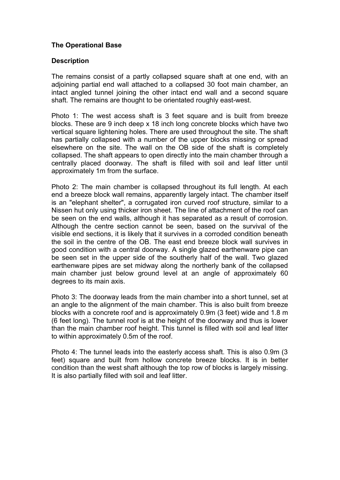## **The Operational Base**

#### **Description**

The remains consist of a partly collapsed square shaft at one end, with an adjoining partial end wall attached to a collapsed 30 foot main chamber, an intact angled tunnel joining the other intact end wall and a second square shaft. The remains are thought to be orientated roughly east-west.

Photo 1: The west access shaft is 3 feet square and is built from breeze blocks. These are 9 inch deep x 18 inch long concrete blocks which have two vertical square lightening holes. There are used throughout the site. The shaft has partially collapsed with a number of the upper blocks missing or spread elsewhere on the site. The wall on the OB side of the shaft is completely collapsed. The shaft appears to open directly into the main chamber through a centrally placed doorway. The shaft is filled with soil and leaf litter until approximately 1m from the surface.

Photo 2: The main chamber is collapsed throughout its full length. At each end a breeze block wall remains, apparently largely intact. The chamber itself is an "elephant shelter", a corrugated iron curved roof structure, similar to a Nissen hut only using thicker iron sheet. The line of attachment of the roof can be seen on the end walls, although it has separated as a result of corrosion. Although the centre section cannot be seen, based on the survival of the visible end sections, it is likely that it survives in a corroded condition beneath the soil in the centre of the OB. The east end breeze block wall survives in good condition with a central doorway. A single glazed earthenware pipe can be seen set in the upper side of the southerly half of the wall. Two glazed earthenware pipes are set midway along the northerly bank of the collapsed main chamber just below ground level at an angle of approximately 60 degrees to its main axis.

Photo 3: The doorway leads from the main chamber into a short tunnel, set at an angle to the alignment of the main chamber. This is also built from breeze blocks with a concrete roof and is approximately 0.9m (3 feet) wide and 1.8 m (6 feet long). The tunnel roof is at the height of the doorway and thus is lower than the main chamber roof height. This tunnel is filled with soil and leaf litter to within approximately 0.5m of the roof.

Photo 4: The tunnel leads into the easterly access shaft. This is also 0.9m (3 feet) square and built from hollow concrete breeze blocks. It is in better condition than the west shaft although the top row of blocks is largely missing. It is also partially filled with soil and leaf litter.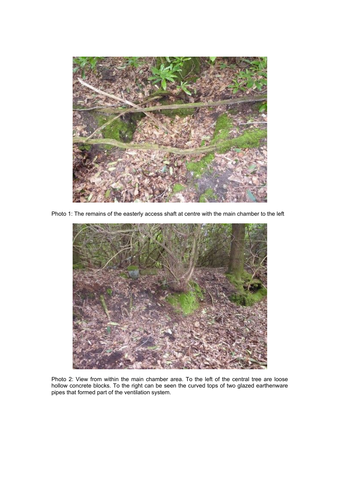

Photo 1: The remains of the easterly access shaft at centre with the main chamber to the left



Photo 2: View from within the main chamber area. To the left of the central tree are loose hollow concrete blocks. To the right can be seen the curved tops of two glazed earthenware pipes that formed part of the ventilation system.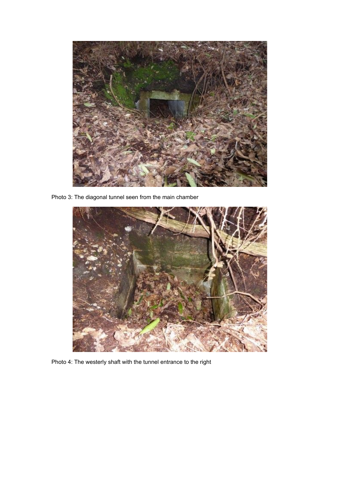

Photo 3: The diagonal tunnel seen from the main chamber



Photo 4: The westerly shaft with the tunnel entrance to the right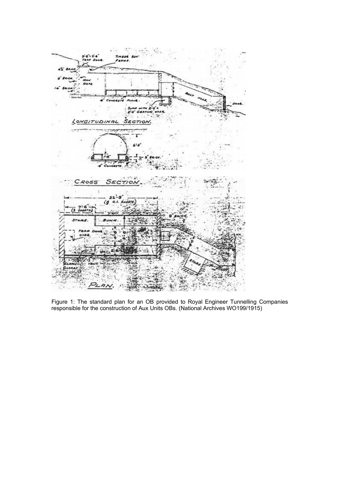

Figure 1: The standard plan for an OB provided to Royal Engineer Tunnelling Companies responsible for the construction of Aux Units OBs. (National Archives WO199/1915)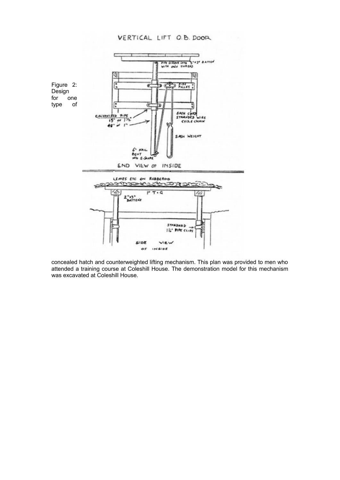VERTICAL LIFT O.B. DOOR



concealed hatch and counterweighted lifting mechanism. This plan was provided to men who attended a training course at Coleshill House. The demonstration model for this mechanism was excavated at Coleshill House.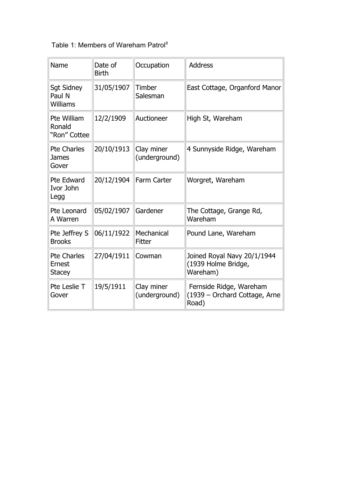Table 1: Members of Wareham Patrol<sup>8</sup>

| Name                                          | Date of<br><b>Birth</b> | Occupation                  | <b>Address</b>                                                    |
|-----------------------------------------------|-------------------------|-----------------------------|-------------------------------------------------------------------|
| <b>Sgt Sidney</b><br>Paul N<br>Williams       | 31/05/1907              | Timber<br>Salesman          | East Cottage, Organford Manor                                     |
| Pte William<br>Ronald<br>"Ron" Cottee         | 12/2/1909               | Auctioneer                  | High St, Wareham                                                  |
| <b>Pte Charles</b><br><b>James</b><br>Gover   | 20/10/1913              | Clay miner<br>(underground) | 4 Sunnyside Ridge, Wareham                                        |
| Pte Edward<br>Ivor John<br>Legg               | 20/12/1904              | <b>Farm Carter</b>          | Worgret, Wareham                                                  |
| Pte Leonard<br>A Warren                       | 05/02/1907              | Gardener                    | The Cottage, Grange Rd,<br>Wareham                                |
| Pte Jeffrey S<br><b>Brooks</b>                | 06/11/1922              | Mechanical<br>Fitter        | Pound Lane, Wareham                                               |
| <b>Pte Charles</b><br>Ernest<br><b>Stacey</b> | 27/04/1911              | Cowman                      | Joined Royal Navy 20/1/1944<br>(1939 Holme Bridge,<br>Wareham)    |
| Pte Leslie T<br>Gover                         | 19/5/1911               | Clay miner<br>(underground) | Fernside Ridge, Wareham<br>(1939 – Orchard Cottage, Arne<br>Road) |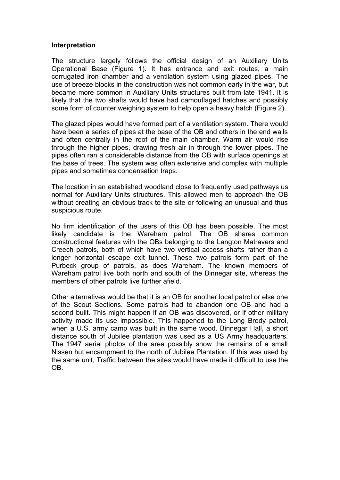#### **Interpretation**

The structure largely follows the official design of an Auxiliary Units Operational Base (Figure 1). It has entrance and exit routes, a main corrugated iron chamber and a ventilation system using glazed pipes. The use of breeze blocks in the construction was not common early in the war, but became more common in Auxiliary Units structures built from late 1941. It is likely that the two shafts would have had camouflaged hatches and possibly some form of counter weighing system to help open a heavy hatch (Figure 2).

The glazed pipes would have formed part of a ventilation system. There would have been a series of pipes at the base of the OB and others in the end walls and often centrally in the roof of the main chamber. Warm air would rise through the higher pipes, drawing fresh air in through the lower pipes. The pipes often ran a considerable distance from the OB with surface openings at the base of trees. The system was often extensive and complex with multiple pipes and sometimes condensation traps.

The location in an established woodland close to frequently used pathways us normal for Auxiliary Units structures. This allowed men to approach the OB without creating an obvious track to the site or following an unusual and thus suspicious route.

No firm identification of the users of this OB has been possible. The most likely candidate is the Wareham patrol. The OB shares common constructional features with the OBs belonging to the Langton Matravers and Creech patrols, both of which have two vertical access shafts rather than a longer horizontal escape exit tunnel. These two patrols form part of the Purbeck group of patrols, as does Wareham. The known members of Wareham patrol live both north and south of the Binnegar site, whereas the members of other patrols live further afield.

Other alternatives would be that it is an OB for another local patrol or else one of the Scout Sections. Some patrols had to abandon one OB and had a second built. This might happen if an OB was discovered, or if other military activity made its use impossible. This happened to the Long Bredy patrol, when a U.S. army camp was built in the same wood. Binnegar Hall, a short distance south of Jubilee plantation was used as a US Army headquarters. The 1947 aerial photos of the area possibly show the remains of a small Nissen hut encampment to the north of Jubilee Plantation. If this was used by the same unit, Traffic between the sites would have made it difficult to use the OB.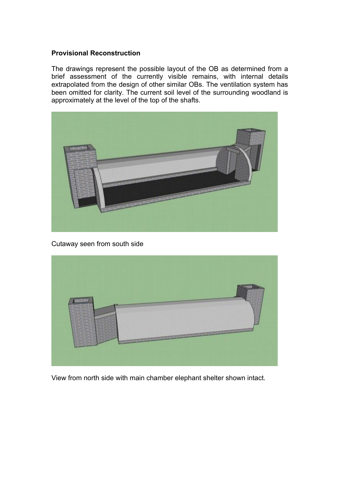#### **Provisional Reconstruction**

The drawings represent the possible layout of the OB as determined from a brief assessment of the currently visible remains, with internal details extrapolated from the design of other similar OBs. The ventilation system has been omitted for clarity. The current soil level of the surrounding woodland is approximately at the level of the top of the shafts.



Cutaway seen from south side



View from north side with main chamber elephant shelter shown intact.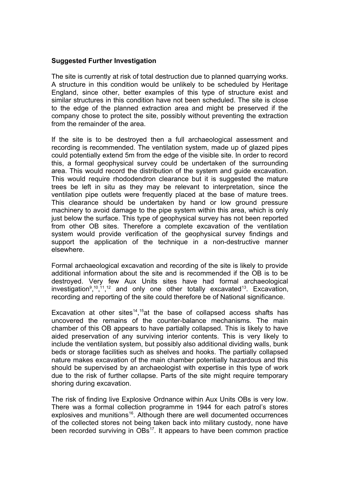#### **Suggested Further Investigation**

The site is currently at risk of total destruction due to planned quarrying works. A structure in this condition would be unlikely to be scheduled by Heritage England, since other, better examples of this type of structure exist and similar structures in this condition have not been scheduled. The site is close to the edge of the planned extraction area and might be preserved if the company chose to protect the site, possibly without preventing the extraction from the remainder of the area.

If the site is to be destroyed then a full archaeological assessment and recording is recommended. The ventilation system, made up of glazed pipes could potentially extend 5m from the edge of the visible site. In order to record this, a formal geophysical survey could be undertaken of the surrounding area. This would record the distribution of the system and guide excavation. This would require rhododendron clearance but it is suggested the mature trees be left in situ as they may be relevant to interpretation, since the ventilation pipe outlets were frequently placed at the base of mature trees. This clearance should be undertaken by hand or low ground pressure machinery to avoid damage to the pipe system within this area, which is only just below the surface. This type of geophysical survey has not been reported from other OB sites. Therefore a complete excavation of the ventilation system would provide verification of the geophysical survey findings and support the application of the technique in a non-destructive manner elsewhere.

Formal archaeological excavation and recording of the site is likely to provide additional information about the site and is recommended if the OB is to be destroyed. Very few Aux Units sites have had formal archaeological investigation $9,^{10},^{11},^{12}$  and only one other totally excavated $^{13}$ . Excavation, recording and reporting of the site could therefore be of National significance.

Excavation at other sites<sup>14</sup>,<sup>15</sup>at the base of collapsed access shafts has uncovered the remains of the counter-balance mechanisms. The main chamber of this OB appears to have partially collapsed. This is likely to have aided preservation of any surviving interior contents. This is very likely to include the ventilation system, but possibly also additional dividing walls, bunk beds or storage facilities such as shelves and hooks. The partially collapsed nature makes excavation of the main chamber potentially hazardous and this should be supervised by an archaeologist with expertise in this type of work due to the risk of further collapse. Parts of the site might require temporary shoring during excavation.

The risk of finding live Explosive Ordnance within Aux Units OBs is very low. There was a formal collection programme in 1944 for each patrol's stores explosives and munitions<sup>16</sup>. Although there are well documented occurrences of the collected stores not being taken back into military custody, none have been recorded surviving in  $OBs^{17}$ . It appears to have been common practice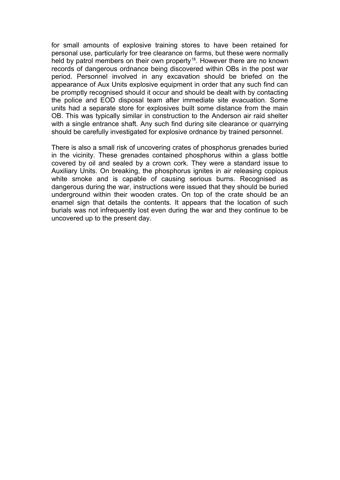for small amounts of explosive training stores to have been retained for personal use, particularly for tree clearance on farms, but these were normally held by patrol members on their own property<sup>18</sup>. However there are no known records of dangerous ordnance being discovered within OBs in the post war period. Personnel involved in any excavation should be briefed on the appearance of Aux Units explosive equipment in order that any such find can be promptly recognised should it occur and should be dealt with by contacting the police and EOD disposal team after immediate site evacuation. Some units had a separate store for explosives built some distance from the main OB. This was typically similar in construction to the Anderson air raid shelter with a single entrance shaft. Any such find during site clearance or quarrying should be carefully investigated for explosive ordnance by trained personnel.

There is also a small risk of uncovering crates of phosphorus grenades buried in the vicinity. These grenades contained phosphorus within a glass bottle covered by oil and sealed by a crown cork. They were a standard issue to Auxiliary Units. On breaking, the phosphorus ignites in air releasing copious white smoke and is capable of causing serious burns. Recognised as dangerous during the war, instructions were issued that they should be buried underground within their wooden crates. On top of the crate should be an enamel sign that details the contents. It appears that the location of such burials was not infrequently lost even during the war and they continue to be uncovered up to the present day.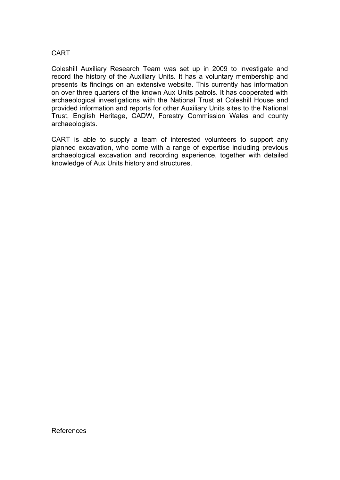### CART

Coleshill Auxiliary Research Team was set up in 2009 to investigate and record the history of the Auxiliary Units. It has a voluntary membership and presents its findings on an extensive website. This currently has information on over three quarters of the known Aux Units patrols. It has cooperated with archaeological investigations with the National Trust at Coleshill House and provided information and reports for other Auxiliary Units sites to the National Trust, English Heritage, CADW, Forestry Commission Wales and county archaeologists.

CART is able to supply a team of interested volunteers to support any planned excavation, who come with a range of expertise including previous archaeological excavation and recording experience, together with detailed knowledge of Aux Units history and structures.